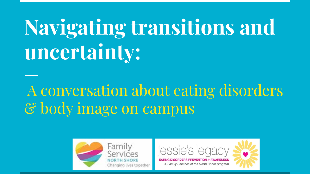# **Navigating transitions and uncertainty:**

# A conversation about eating disorders & body image on campus



Family Services **NORTH SHORE** Changing lives together



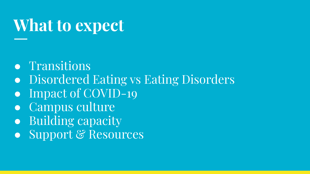## **What to expect**

- Transitions
- Disordered Eating vs Eating Disorders
- Impact of COVID-19
- Campus culture
- Building capacity
- Support & Resources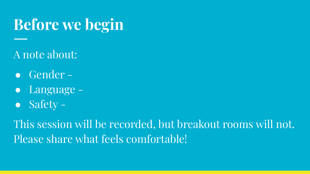## **Before we begin**

### A note about:

- Gender -
- Language -
- $\overline{\bullet}$  Safety –

This session will be recorded, but breakout rooms will not. Please share what feels comfortable!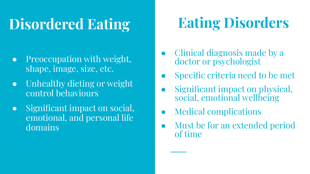## **Disordered Eating**

- Preoccupation with weight, shape, image, size, etc.
- Unhealthy dieting or weight control behaviours
- Significant impact on social, emotional, and personal life domains

# **Eating Disorders**

- Clinical diagnosis made by a doctor or psychologist
- Specific criteria need to be met
- Significant impact on physical, social, emotional wellbeing
- **Medical complications**
- Must be for an extended period of time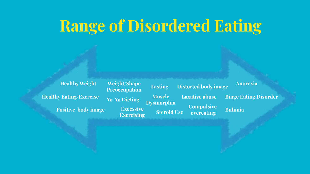## **Range of Disordered Eating**

**Healthy Weight Healthy Eating/Exercise Positive body image**

**Weight/Shape Preoccupation Yo-Yo Dieting Excessive Exercising**

**Fasting Muscle Dysmorphia Steroid Use Distorted body image Laxative abuse Compulsive overeating**

**Anorexia**

**Binge Eating Disorder**

**Bulimia**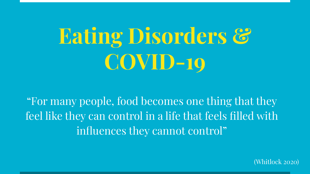# **Eating Disorders & COVID-19**

"For many people, food becomes one thing that they feel like they can control in a life that feels filled with influences they cannot control"

(Whitlock 2020)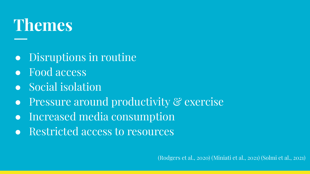# **Themes**

- Disruptions in routine
- Food access
- Social isolation
- **•** Pressure around productivity & exercise
- Increased media consumption
- Restricted access to resources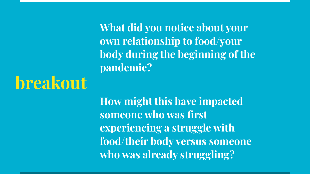**What did you notice about your own relationship to food/your body during the beginning of the pandemic?** 

**breakout**

**How might this have impacted someone who was first experiencing a struggle with food/their body versus someone who was already struggling?**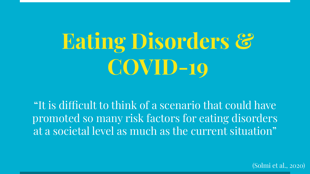# **Eating Disorders & COVID-19**

"It is difficult to think of a scenario that could have promoted so many risk factors for eating disorders at a societal level as much as the current situation"

(Solmi et al., 2020)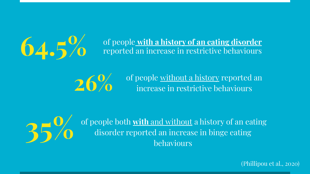**64.5%** of people with a history of an eating disorder<br>reported an increase in restrictive behaviours reported an increase in restrictive behaviours

26% of people <u>without a history</u> reported an increase in restrictive behaviours



**35%** of people both **with** and without a history of an eating<br>alisorder reported an increase in binge eating<br>behaviours disorder reported an increase in binge eating behaviours

(Phillipou et al., 2020)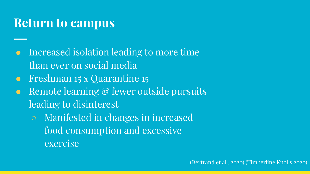#### **Return to campus**

- Increased isolation leading to more time than ever on social media
- Freshman 15 x Quarantine 15
- Remote learning & fewer outside pursuits leading to disinterest
	- Manifested in changes in increased food consumption and excessive exercise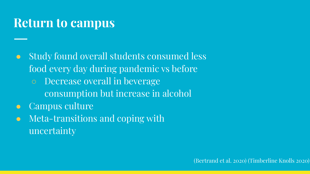### **Return to campus**

- Study found overall students consumed less food every day during pandemic vs before
	- Decrease overall in beverage consumption but increase in alcohol
- **Campus culture**
- Meta-transitions and coping with uncertainty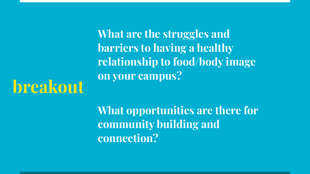**What are the struggles and barriers to having a healthy relationship to food/body image on your campus?** 

# **breakout**

**What opportunities are there for community building and connection?**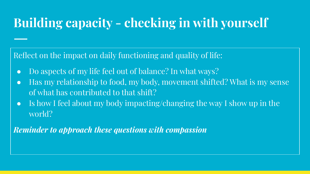## **Building capacity - checking in with yourself**

Reflect on the impact on daily functioning and quality of life:

- Do aspects of my life feel out of balance? In what ways?
- Has my relationship to food, my body, movement shifted? What is my sense of what has contributed to that shift?
- Is how I feel about my body impacting/changing the way I show up in the world?

*Reminder to approach these questions with compassion*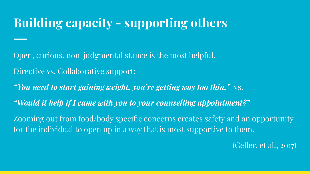## **Building capacity - supporting others**

Open, curious, non-judgmental stance is the most helpful.

Directive vs. Collaborative support:

*"You need to start gaining weight, you're getting way too thin."* vs.

*"Would it help if I came with you to your counselling appointment?"*

Zooming out from food/body specific concerns creates safety and an opportunity for the individual to open up in a way that is most supportive to them.

(Geller, et al., 2017)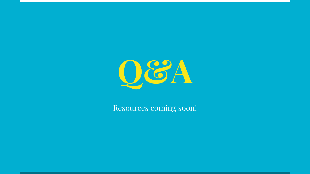

Resources coming soon!